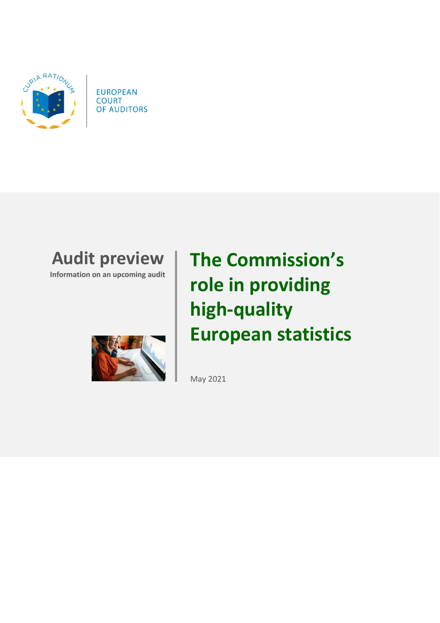

**EUROPEAN COURT** OF AUDITORS

## **Audit preview**

**Information on an upcoming audit**



# **The Commission's role in providing high-quality European statistics**

May 2021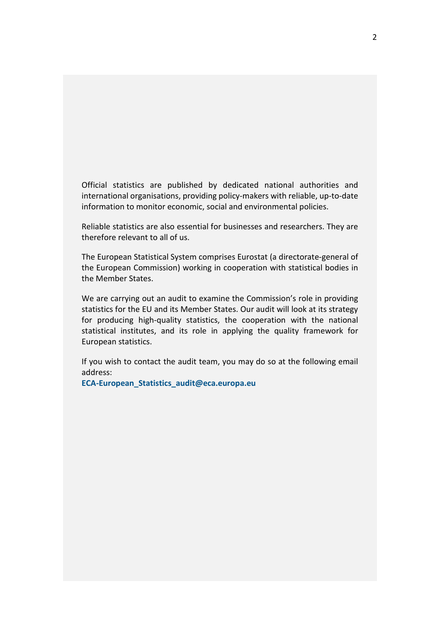Official statistics are published by dedicated national authorities and international organisations, providing policy-makers with reliable, up-to-date information to monitor economic, social and environmental policies.

Reliable statistics are also essential for businesses and researchers. They are therefore relevant to all of us.

The European Statistical System comprises Eurostat (a directorate-general of the European Commission) working in cooperation with statistical bodies in the Member States.

We are carrying out an audit to examine the Commission's role in providing statistics for the EU and its Member States. Our audit will look at its strategy for producing high-quality statistics, the cooperation with the national statistical institutes, and its role in applying the quality framework for European statistics.

If you wish to contact the audit team, you may do so at the following email address:

**[ECA-European\\_Statistics\\_audit@eca.europa.eu](mailto:ECA-European_Statistics_audit@eca.europa.eu)**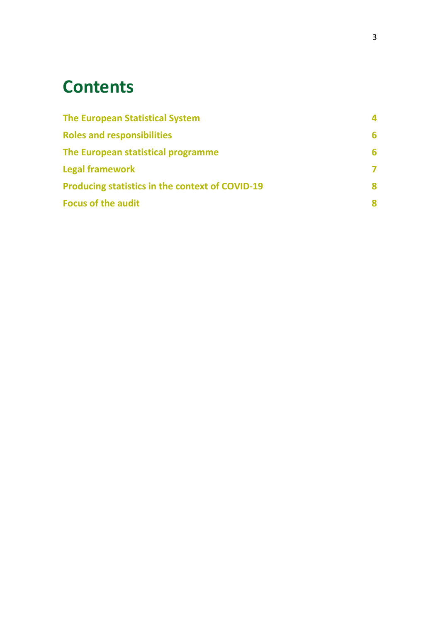## **Contents**

| <b>The European Statistical System</b>                 | 4 |
|--------------------------------------------------------|---|
| <b>Roles and responsibilities</b>                      | 6 |
| The European statistical programme                     | 6 |
| <b>Legal framework</b>                                 | 7 |
| <b>Producing statistics in the context of COVID-19</b> | 8 |
| <b>Focus of the audit</b>                              | 8 |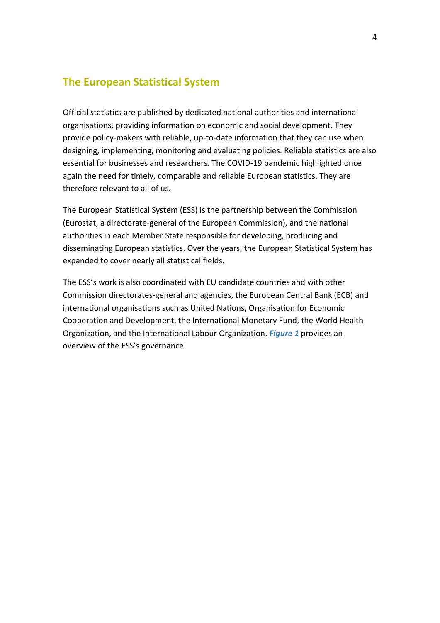#### <span id="page-3-0"></span>**The European Statistical System**

Official statistics are published by dedicated national authorities and international organisations, providing information on economic and social development. They provide policy-makers with reliable, up-to-date information that they can use when designing, implementing, monitoring and evaluating policies. Reliable statistics are also essential for businesses and researchers. The COVID-19 pandemic highlighted once again the need for timely, comparable and reliable European statistics. They are therefore relevant to all of us.

The European Statistical System (ESS) is the partnership between the Commission (Eurostat, a directorate-general of the European Commission), and the national authorities in each Member State responsible for developing, producing and disseminating European statistics. Over the years, the European Statistical System has expanded to cover nearly all statistical fields.

The ESS's work is also coordinated with EU candidate countries and with other Commission directorates-general and agencies, the European Central Bank (ECB) and international organisations such as United Nations, Organisation for Economic Cooperation and Development, the International Monetary Fund, the World Health Organization, and the International Labour Organization. *Figure 1* provides an overview of the ESS's governance.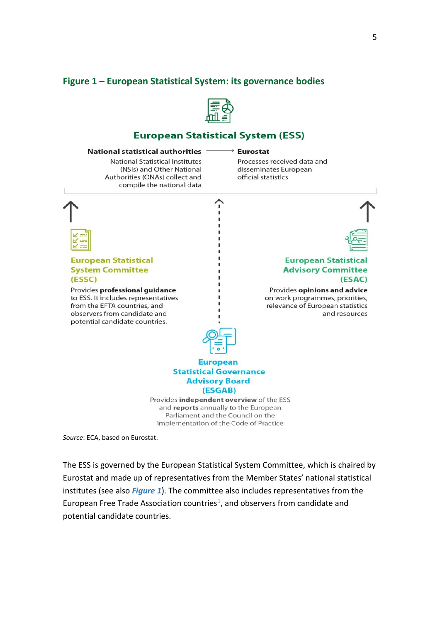#### **Figure 1 – European Statistical System: its governance bodies**



#### **European Statistical System (ESS)**

#### National statistical authorities -

**National Statistical Institutes** (NSIs) and Other National Authorities (ONAs) collect and compile the national data

#### $\rightarrow$  Eurostat

Processes received data and disseminates European official statistics



*Source*: ECA, based on Eurostat.

The ESS is governed by the European Statistical System Committee, which is chaired by Eurostat and made up of representatives from the Member States' national statistical institutes (see also *Figure 1*). The committee also includes representatives from the European Free Trade Association countries<sup>1</sup>, and observers from candidate and potential candidate countries.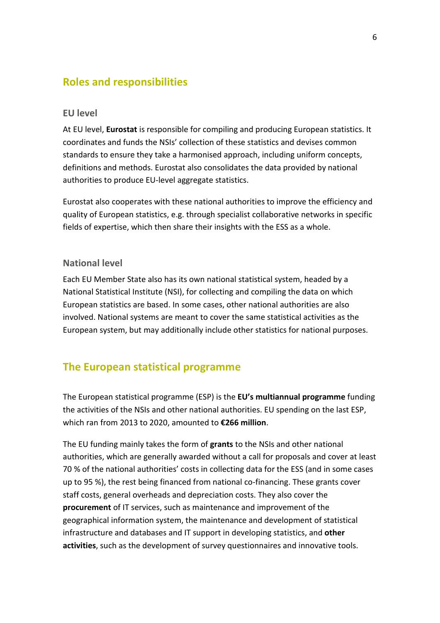#### <span id="page-5-0"></span>**Roles and responsibilities**

#### **EU level**

At EU level, **Eurostat** is responsible for compiling and producing European statistics. It coordinates and funds the NSIs' collection of these statistics and devises common standards to ensure they take a harmonised approach, including uniform concepts, definitions and methods. Eurostat also consolidates the data provided by national authorities to produce EU-level aggregate statistics.

Eurostat also cooperates with these national authorities to improve the efficiency and quality of European statistics, e.g. through specialist collaborative networks in specific fields of expertise, which then share their insights with the ESS as a whole.

#### **National level**

Each EU Member State also has its own national statistical system, headed by a National Statistical Institute (NSI), for collecting and compiling the data on which European statistics are based. In some cases, other national authorities are also involved. National systems are meant to cover the same statistical activities as the European system, but may additionally include other statistics for national purposes.

#### <span id="page-5-1"></span>**The European statistical programme**

The European statistical programme (ESP) is the **EU's multiannual programme** funding the activities of the NSIs and other national authorities. EU spending on the last ESP, which ran from 2013 to 2020, amounted to **€266 million**.

The EU funding mainly takes the form of **grants** to the NSIs and other national authorities, which are generally awarded without a call for proposals and cover at least 70 % of the national authorities' costs in collecting data for the ESS (and in some cases up to 95 %), the rest being financed from national co-financing. These grants cover staff costs, general overheads and depreciation costs. They also cover the **procurement** of IT services, such as maintenance and improvement of the geographical information system, the maintenance and development of statistical infrastructure and databases and IT support in developing statistics, and **other activities**, such as the development of survey questionnaires and innovative tools.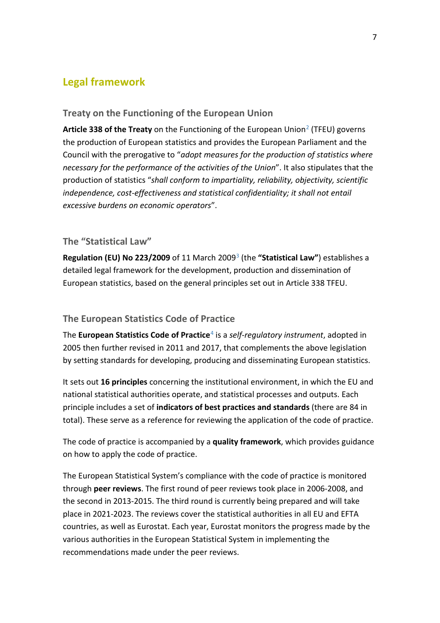### <span id="page-6-0"></span>**Legal framework**

#### **Treaty on the Functioning of the European Union**

Article 338 of the Treaty on the Functioning of the European Union<sup>[2](#page-10-1)</sup> (TFEU) governs the production of European statistics and provides the European Parliament and the Council with the prerogative to "*adopt measures for the production of statistics where necessary for the performance of the activities of the Union*". It also stipulates that the production of statistics "*shall conform to impartiality, reliability, objectivity, scientific*  independence, cost-effectiveness and statistical confidentiality; it shall not entail *excessive burdens on economic operators*".

#### **The "Statistical Law"**

**Regulation (EU) No 223/2009** of 11 March 2009[3](#page-10-2) (the **"Statistical Law"**) establishes a detailed legal framework for the development, production and dissemination of European statistics, based on the general principles set out in Article 338 TFEU.

#### **The European Statistics Code of Practice**

The **European Statistics Code of Practice**[4](#page-10-3) is a *self-regulatory instrument*, adopted in 2005 then further revised in 2011 and 2017, that complements the above legislation by setting standards for developing, producing and disseminating European statistics.

It sets out **16 principles** concerning the institutional environment, in which the EU and national statistical authorities operate, and statistical processes and outputs. Each principle includes a set of **indicators of best practices and standards** (there are 84 in total). These serve as a reference for reviewing the application of the code of practice.

The code of practice is accompanied by a **quality framework**, which provides guidance on how to apply the code of practice.

The European Statistical System's compliance with the code of practice is monitored through **peer reviews**. The first round of peer reviews took place in 2006-2008, and the second in 2013-2015. The third round is currently being prepared and will take place in 2021-2023. The reviews cover the statistical authorities in all EU and EFTA countries, as well as Eurostat. Each year, Eurostat monitors the progress made by the various authorities in the European Statistical System in implementing the recommendations made under the peer reviews.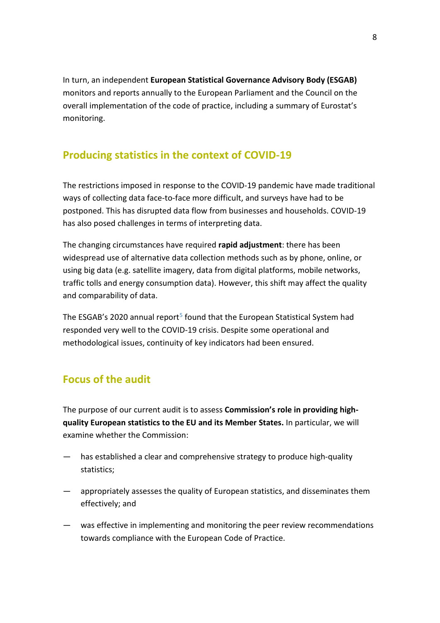In turn, an independent **European Statistical Governance Advisory Body (ESGAB)** monitors and reports annually to the European Parliament and the Council on the overall implementation of the code of practice, including a summary of Eurostat's monitoring.

## <span id="page-7-0"></span>**Producing statistics in the context of COVID-19**

The restrictions imposed in response to the COVID-19 pandemic have made traditional ways of collecting data face-to-face more difficult, and surveys have had to be postponed. This has disrupted data flow from businesses and households. COVID-19 has also posed challenges in terms of interpreting data.

The changing circumstances have required **rapid adjustment**: there has been widespread use of alternative data collection methods such as by phone, online, or using big data (e.g. satellite imagery, data from digital platforms, mobile networks, traffic tolls and energy consumption data). However, this shift may affect the quality and comparability of data.

The ESGAB's 2020 annual report<sup>[5](#page-10-4)</sup> found that the European Statistical System had responded very well to the COVID-19 crisis. Despite some operational and methodological issues, continuity of key indicators had been ensured.

## <span id="page-7-1"></span>**Focus of the audit**

The purpose of our current audit is to assess **Commission's role in providing highquality European statistics to the EU and its Member States.** In particular, we will examine whether the Commission:

- has established a clear and comprehensive strategy to produce high-quality statistics;
- appropriately assesses the quality of European statistics, and disseminates them effectively; and
- was effective in implementing and monitoring the peer review recommendations towards compliance with the European Code of Practice.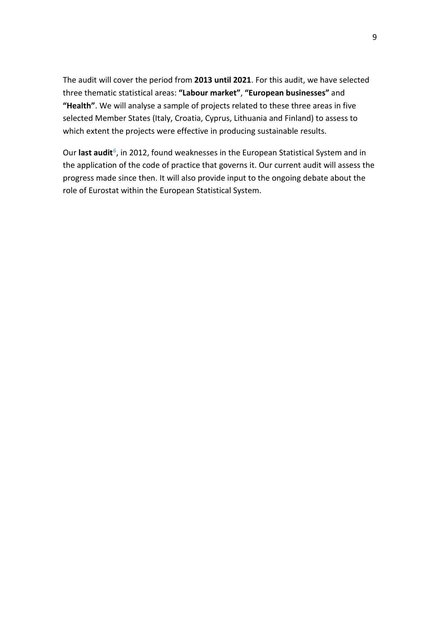The audit will cover the period from **2013 until 2021**. For this audit, we have selected three thematic statistical areas: **"Labour market"**, **"European businesses"** and **"Health"**. We will analyse a sample of projects related to these three areas in five selected Member States (Italy, Croatia, Cyprus, Lithuania and Finland) to assess to which extent the projects were effective in producing sustainable results.

Our **last audit**<sup>[6](#page-10-5)</sup>, in 2012, found weaknesses in the European Statistical System and in the application of the code of practice that governs it. Our current audit will assess the progress made since then. It will also provide input to the ongoing debate about the role of Eurostat within the European Statistical System.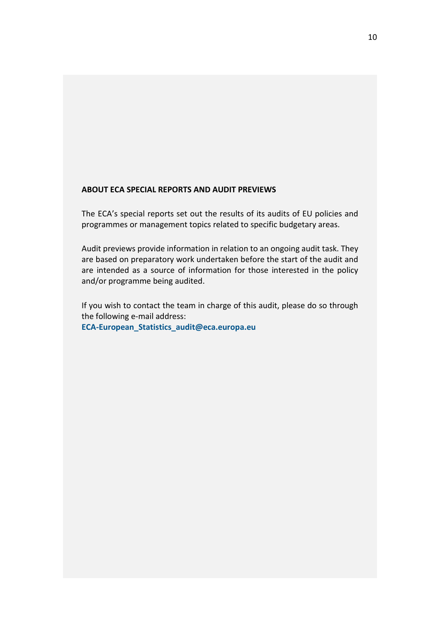#### **ABOUT ECA SPECIAL REPORTS AND AUDIT PREVIEWS**

The ECA's special reports set out the results of its audits of EU policies and programmes or management topics related to specific budgetary areas.

Audit previews provide information in relation to an ongoing audit task. They are based on preparatory work undertaken before the start of the audit and are intended as a source of information for those interested in the policy and/or programme being audited.

If you wish to contact the team in charge of this audit, please do so through the following e-mail address:

**[ECA-European\\_Statistics\\_audit@eca.europa.eu](mailto:ECA-European_Statistics_audit@eca.europa.eu)**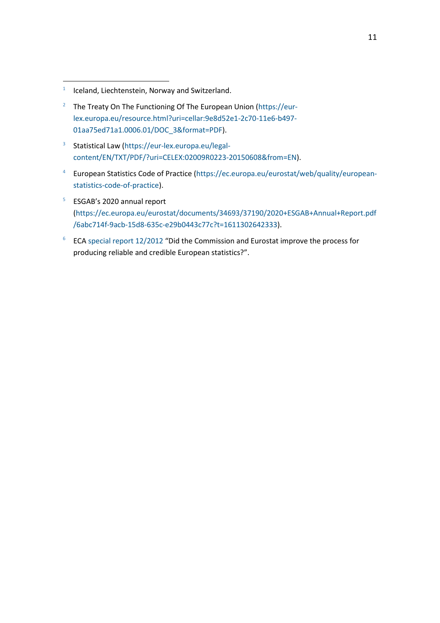<u>.</u>

- <span id="page-10-1"></span><sup>2</sup> The Treaty On The Functioning Of The European Union [\(https://eur](https://eur-lex.europa.eu/resource.html?uri=cellar:9e8d52e1-2c70-11e6-b497-01aa75ed71a1.0006.01/DOC_3&format=PDF)[lex.europa.eu/resource.html?uri=cellar:9e8d52e1-2c70-11e6-b497-](https://eur-lex.europa.eu/resource.html?uri=cellar:9e8d52e1-2c70-11e6-b497-01aa75ed71a1.0006.01/DOC_3&format=PDF) [01aa75ed71a1.0006.01/DOC\\_3&format=PDF\)](https://eur-lex.europa.eu/resource.html?uri=cellar:9e8d52e1-2c70-11e6-b497-01aa75ed71a1.0006.01/DOC_3&format=PDF).
- <span id="page-10-2"></span><sup>3</sup> Statistical Law [\(https://eur-lex.europa.eu/legal](https://eur-lex.europa.eu/legal-content/EN/TXT/PDF/?uri=CELEX:02009R0223-20150608&from=EN)[content/EN/TXT/PDF/?uri=CELEX:02009R0223-20150608&from=EN\)](https://eur-lex.europa.eu/legal-content/EN/TXT/PDF/?uri=CELEX:02009R0223-20150608&from=EN).
- <span id="page-10-3"></span>4 European Statistics Code of Practice [\(https://ec.europa.eu/eurostat/web/quality/european](https://ec.europa.eu/eurostat/web/quality/european-statistics-code-of-practice)[statistics-code-of-practice\)](https://ec.europa.eu/eurostat/web/quality/european-statistics-code-of-practice).
- <span id="page-10-4"></span><sup>5</sup> ESGAB's 2020 annual report [\(https://ec.europa.eu/eurostat/documents/34693/37190/2020+ESGAB+Annual+Report.pdf](https://ec.europa.eu/eurostat/documents/34693/37190/2020+ESGAB+Annual+Report.pdf/6abc714f-9acb-15d8-635c-e29b0443c77c?t=1611302642333) [/6abc714f-9acb-15d8-635c-e29b0443c77c?t=1611302642333\)](https://ec.europa.eu/eurostat/documents/34693/37190/2020+ESGAB+Annual+Report.pdf/6abc714f-9acb-15d8-635c-e29b0443c77c?t=1611302642333).
- <span id="page-10-5"></span> $6$  ECA [special report 12/2012](https://www.eca.europa.eu/lists/ecadocuments/sr12_12/sr12_12_en.pdf) "Did the Commission and Eurostat improve the process for producing reliable and credible European statistics?".

<span id="page-10-0"></span><sup>1</sup> Iceland, Liechtenstein, Norway and Switzerland.